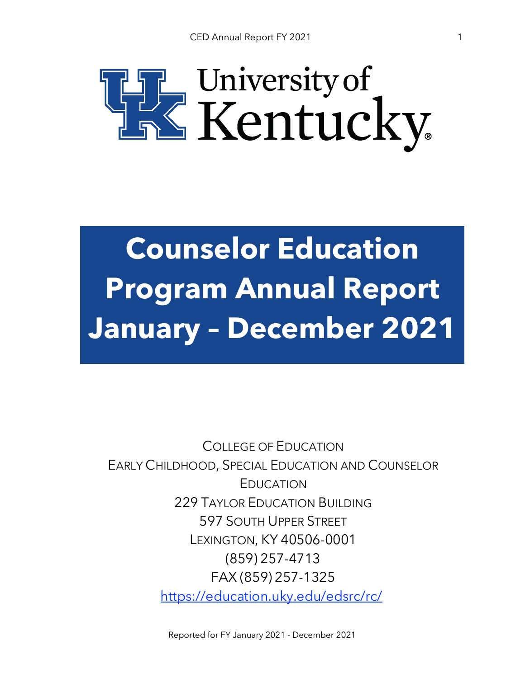

# **Counselor Education Program Annual Report January – December 2021**

COLLEGE OF EDUCATION EARLY CHILDHOOD, SPECIAL EDUCATION AND COUNSELOR EDUCATION 229 TAYLOR EDUCATION BUILDING 597 SOUTH UPPER STREET LEXINGTON, KY 40506-0001 (859) 257-4713 FAX (859) 257-1325 https://education.uky.edu/edsrc/rc/

Reported for FY January 2021 - December 2021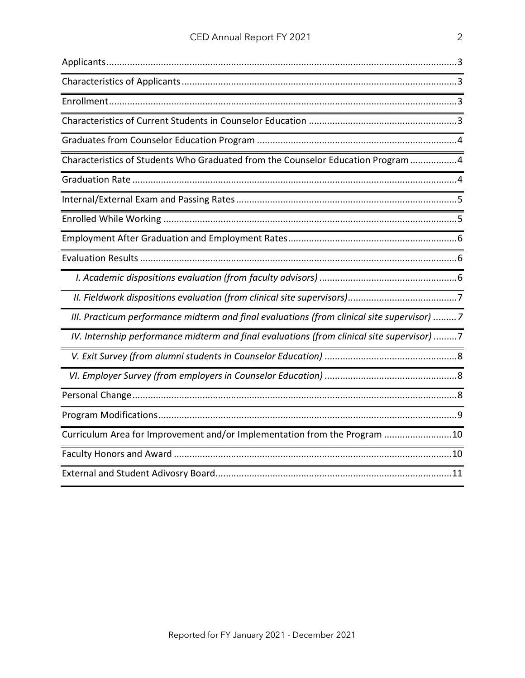| <u> 1989 - Johann Barbara, martxa alemaniar argumento de la contrada de la contrada de la contrada de la contrad</u>   |
|------------------------------------------------------------------------------------------------------------------------|
|                                                                                                                        |
|                                                                                                                        |
|                                                                                                                        |
| Characteristics of Students Who Graduated from the Counselor Education Program 4                                       |
|                                                                                                                        |
|                                                                                                                        |
|                                                                                                                        |
|                                                                                                                        |
|                                                                                                                        |
|                                                                                                                        |
|                                                                                                                        |
| III. Practicum performance midterm and final evaluations (from clinical site supervisor) 7                             |
| IV. Internship performance midterm and final evaluations (from clinical site supervisor) 7                             |
|                                                                                                                        |
|                                                                                                                        |
| <u> 1989 - Johann Stoff, deutscher Stoffen und der Stoffen und der Stoffen und der Stoffen und der Stoffen und der</u> |
|                                                                                                                        |
| Curriculum Area for Improvement and/or Implementation from the Program 10                                              |
|                                                                                                                        |
|                                                                                                                        |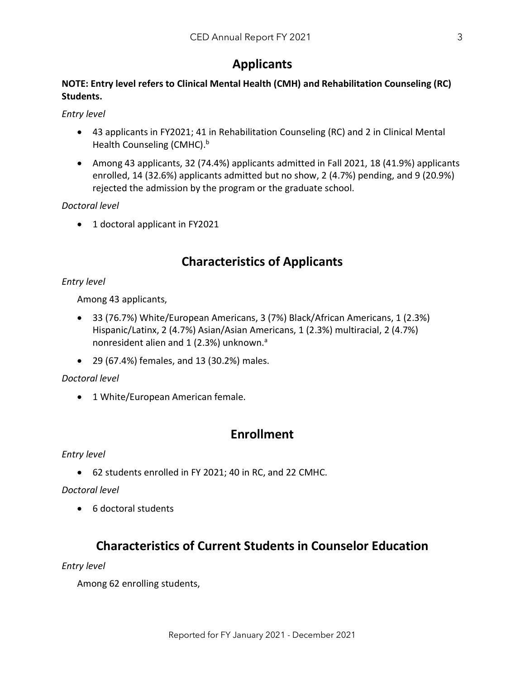# **Applicants**

#### **NOTE: Entry level refers to Clinical Mental Health (CMH) and Rehabilitation Counseling (RC) Students.**

*Entry level*

- 43 applicants in FY2021; 41 in Rehabilitation Counseling (RC) and 2 in Clinical Mental Health Counseling (CMHC).<sup>b</sup>
- Among 43 applicants, 32 (74.4%) applicants admitted in Fall 2021, 18 (41.9%) applicants enrolled, 14 (32.6%) applicants admitted but no show, 2 (4.7%) pending, and 9 (20.9%) rejected the admission by the program or the graduate school.

*Doctoral level*

• 1 doctoral applicant in FY2021

# **Characteristics of Applicants**

#### *Entry level*

Among 43 applicants,

- 33 (76.7%) White/European Americans, 3 (7%) Black/African Americans, 1 (2.3%) Hispanic/Latinx, 2 (4.7%) Asian/Asian Americans, 1 (2.3%) multiracial, 2 (4.7%) nonresident alien and 1 (2.3%) unknown.<sup>a</sup>
- 29 (67.4%) females, and 13 (30.2%) males.

#### *Doctoral level*

• 1 White/European American female.

## **Enrollment**

*Entry level*

• 62 students enrolled in FY 2021; 40 in RC, and 22 CMHC.

#### *Doctoral level*

• 6 doctoral students

## **Characteristics of Current Students in Counselor Education**

*Entry level*

Among 62 enrolling students,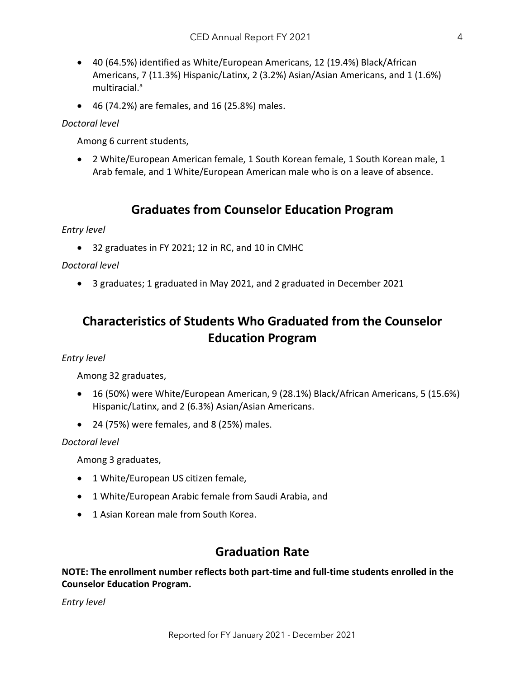- 40 (64.5%) identified as White/European Americans, 12 (19.4%) Black/African Americans, 7 (11.3%) Hispanic/Latinx, 2 (3.2%) Asian/Asian Americans, and 1 (1.6%) multiracial. a
- 46 (74.2%) are females, and 16 (25.8%) males.

#### *Doctoral level*

Among 6 current students,

• 2 White/European American female, 1 South Korean female, 1 South Korean male, 1 Arab female, and 1 White/European American male who is on a leave of absence.

## **Graduates from Counselor Education Program**

*Entry level*

• 32 graduates in FY 2021; 12 in RC, and 10 in CMHC

*Doctoral level*

• 3 graduates; 1 graduated in May 2021, and 2 graduated in December 2021

# **Characteristics of Students Who Graduated from the Counselor Education Program**

*Entry level*

Among 32 graduates,

- 16 (50%) were White/European American, 9 (28.1%) Black/African Americans, 5 (15.6%) Hispanic/Latinx, and 2 (6.3%) Asian/Asian Americans.
- $\bullet$  24 (75%) were females, and 8 (25%) males.

*Doctoral level*

Among 3 graduates,

- 1 White/European US citizen female,
- 1 White/European Arabic female from Saudi Arabia, and
- 1 Asian Korean male from South Korea.

## **Graduation Rate**

**NOTE: The enrollment number reflects both part-time and full-time students enrolled in the Counselor Education Program.**

*Entry level*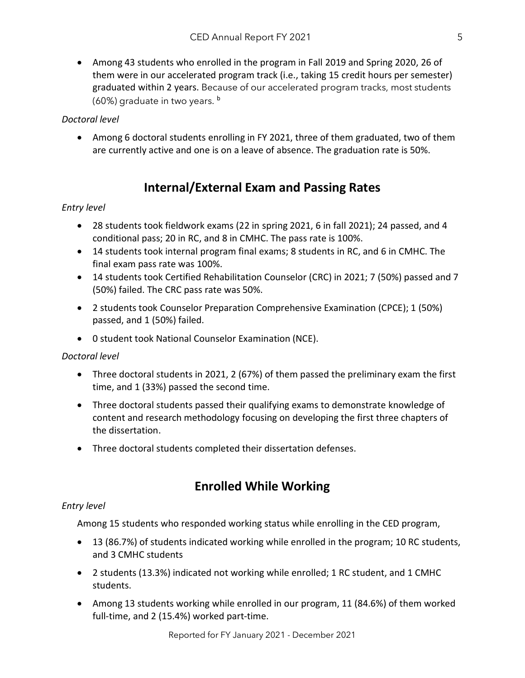• Among 43 students who enrolled in the program in Fall 2019 and Spring 2020, 26 of them were in our accelerated program track (i.e., taking 15 credit hours per semester) graduated within 2 years. Because of our accelerated program tracks, most students  $(60\%)$  graduate in two years.  $\frac{b}{2}$ 

#### *Doctoral level*

• Among 6 doctoral students enrolling in FY 2021, three of them graduated, two of them are currently active and one is on a leave of absence. The graduation rate is 50%.

## **Internal/External Exam and Passing Rates**

#### *Entry level*

- 28 students took fieldwork exams (22 in spring 2021, 6 in fall 2021); 24 passed, and 4 conditional pass; 20 in RC, and 8 in CMHC. The pass rate is 100%.
- 14 students took internal program final exams; 8 students in RC, and 6 in CMHC. The final exam pass rate was 100%.
- 14 students took Certified Rehabilitation Counselor (CRC) in 2021; 7 (50%) passed and 7 (50%) failed. The CRC pass rate was 50%.
- 2 students took Counselor Preparation Comprehensive Examination (CPCE); 1 (50%) passed, and 1 (50%) failed.
- 0 student took National Counselor Examination (NCE).

#### *Doctoral level*

- Three doctoral students in 2021, 2 (67%) of them passed the preliminary exam the first time, and 1 (33%) passed the second time.
- Three doctoral students passed their qualifying exams to demonstrate knowledge of content and research methodology focusing on developing the first three chapters of the dissertation.
- Three doctoral students completed their dissertation defenses.

## **Enrolled While Working**

#### *Entry level*

Among 15 students who responded working status while enrolling in the CED program,

- 13 (86.7%) of students indicated working while enrolled in the program; 10 RC students, and 3 CMHC students
- 2 students (13.3%) indicated not working while enrolled; 1 RC student, and 1 CMHC students.
- Among 13 students working while enrolled in our program, 11 (84.6%) of them worked full-time, and 2 (15.4%) worked part-time.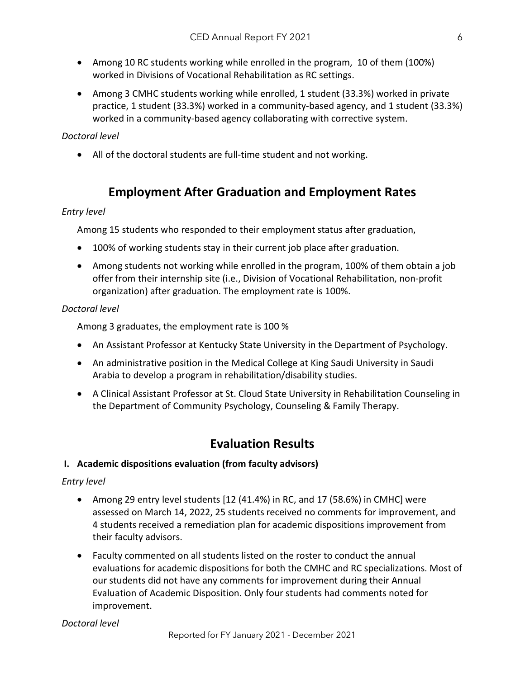- Among 10 RC students working while enrolled in the program, 10 of them (100%) worked in Divisions of Vocational Rehabilitation as RC settings.
- Among 3 CMHC students working while enrolled, 1 student (33.3%) worked in private practice, 1 student (33.3%) worked in a community-based agency, and 1 student (33.3%) worked in a community-based agency collaborating with corrective system.

#### *Doctoral level*

• All of the doctoral students are full-time student and not working.

## **Employment After Graduation and Employment Rates**

#### *Entry level*

Among 15 students who responded to their employment status after graduation,

- 100% of working students stay in their current job place after graduation.
- Among students not working while enrolled in the program, 100% of them obtain a job offer from their internship site (i.e., Division of Vocational Rehabilitation, non-profit organization) after graduation. The employment rate is 100%.

#### *Doctoral level*

Among 3 graduates, the employment rate is 100 %

- An Assistant Professor at Kentucky State University in the Department of Psychology.
- An administrative position in the Medical College at King Saudi University in Saudi Arabia to develop a program in rehabilitation/disability studies.
- A Clinical Assistant Professor at St. Cloud State University in Rehabilitation Counseling in the Department of Community Psychology, Counseling & Family Therapy.

## **Evaluation Results**

#### **I. Academic dispositions evaluation (from faculty advisors)**

#### *Entry level*

- Among 29 entry level students [12 (41.4%) in RC, and 17 (58.6%) in CMHC] were assessed on March 14, 2022, 25 students received no comments for improvement, and 4 students received a remediation plan for academic dispositions improvement from their faculty advisors.
- Faculty commented on all students listed on the roster to conduct the annual evaluations for academic dispositions for both the CMHC and RC specializations. Most of our students did not have any comments for improvement during their Annual Evaluation of Academic Disposition. Only four students had comments noted for improvement.

#### *Doctoral level*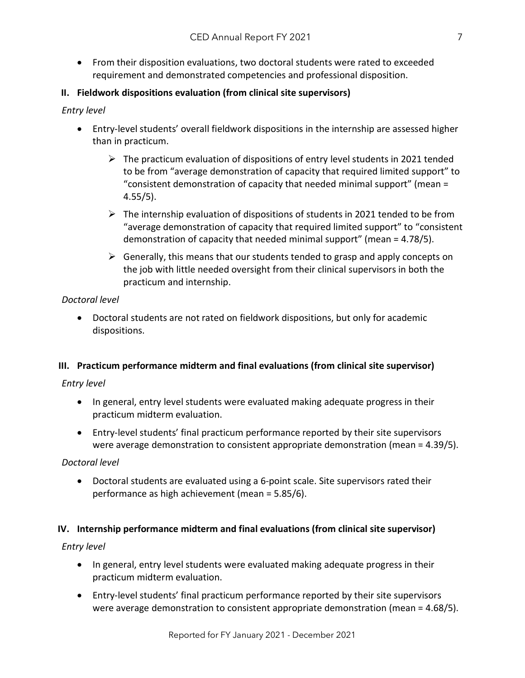• From their disposition evaluations, two doctoral students were rated to exceeded requirement and demonstrated competencies and professional disposition.

#### **II. Fieldwork dispositions evaluation (from clinical site supervisors)**

#### *Entry level*

- Entry-level students' overall fieldwork dispositions in the internship are assessed higher than in practicum.
	- $\triangleright$  The practicum evaluation of dispositions of entry level students in 2021 tended to be from "average demonstration of capacity that required limited support" to "consistent demonstration of capacity that needed minimal support" (mean = 4.55/5).
	- $\triangleright$  The internship evaluation of dispositions of students in 2021 tended to be from "average demonstration of capacity that required limited support" to "consistent demonstration of capacity that needed minimal support" (mean = 4.78/5).
	- $\triangleright$  Generally, this means that our students tended to grasp and apply concepts on the job with little needed oversight from their clinical supervisors in both the practicum and internship.

#### *Doctoral level*

• Doctoral students are not rated on fieldwork dispositions, but only for academic dispositions.

#### **III. Practicum performance midterm and final evaluations (from clinical site supervisor)**

#### *Entry level*

- In general, entry level students were evaluated making adequate progress in their practicum midterm evaluation.
- Entry-level students' final practicum performance reported by their site supervisors were average demonstration to consistent appropriate demonstration (mean = 4.39/5).

#### *Doctoral level*

• Doctoral students are evaluated using a 6-point scale. Site supervisors rated their performance as high achievement (mean = 5.85/6).

#### **IV. Internship performance midterm and final evaluations (from clinical site supervisor)**

#### *Entry level*

- In general, entry level students were evaluated making adequate progress in their practicum midterm evaluation.
- Entry-level students' final practicum performance reported by their site supervisors were average demonstration to consistent appropriate demonstration (mean = 4.68/5).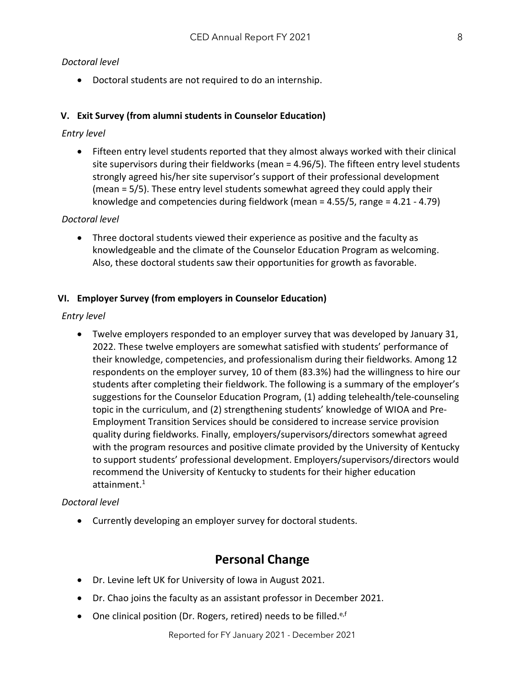#### *Doctoral level*

• Doctoral students are not required to do an internship.

#### **V. Exit Survey (from alumni students in Counselor Education)**

#### *Entry level*

• Fifteen entry level students reported that they almost always worked with their clinical site supervisors during their fieldworks (mean = 4.96/5). The fifteen entry level students strongly agreed his/her site supervisor's support of their professional development (mean = 5/5). These entry level students somewhat agreed they could apply their knowledge and competencies during fieldwork (mean = 4.55/5, range = 4.21 - 4.79)

#### *Doctoral level*

• Three doctoral students viewed their experience as positive and the faculty as knowledgeable and the climate of the Counselor Education Program as welcoming. Also, these doctoral students saw their opportunities for growth as favorable.

#### **VI. Employer Survey (from employers in Counselor Education)**

*Entry level*

• Twelve employers responded to an employer survey that was developed by January 31, 2022. These twelve employers are somewhat satisfied with students' performance of their knowledge, competencies, and professionalism during their fieldworks. Among 12 respondents on the employer survey, 10 of them (83.3%) had the willingness to hire our students after completing their fieldwork. The following is a summary of the employer's suggestions for the Counselor Education Program, (1) adding telehealth/tele-counseling topic in the curriculum, and (2) strengthening students' knowledge of WIOA and Pre-Employment Transition Services should be considered to increase service provision quality during fieldworks. Finally, employers/supervisors/directors somewhat agreed with the program resources and positive climate provided by the University of Kentucky to support students' professional development. Employers/supervisors/directors would recommend the University of Kentucky to students for their higher education attainment.<sup>1</sup>

#### *Doctoral level*

• Currently developing an employer survey for doctoral students.

## **Personal Change**

- Dr. Levine left UK for University of Iowa in August 2021.
- Dr. Chao joins the faculty as an assistant professor in December 2021.
- One clinical position (Dr. Rogers, retired) needs to be filled. $e, f$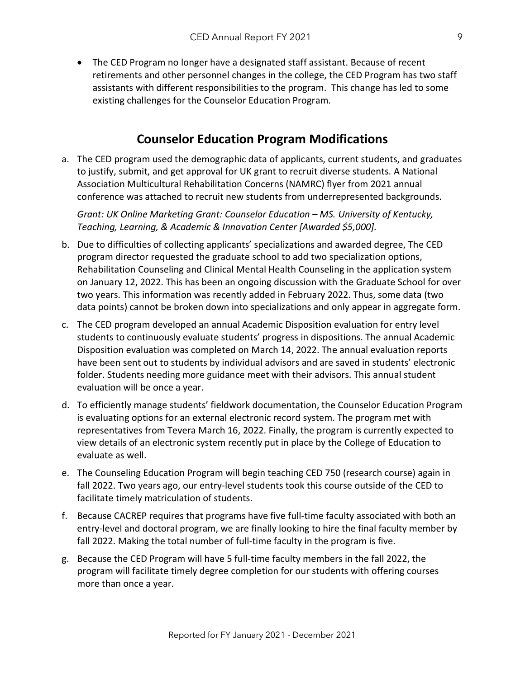• The CED Program no longer have a designated staff assistant. Because of recent retirements and other personnel changes in the college, the CED Program has two staff assistants with different responsibilities to the program. This change has led to some existing challenges for the Counselor Education Program.

### **Counselor Education Program Modifications**

a. The CED program used the demographic data of applicants, current students, and graduates to justify, submit, and get approval for UK grant to recruit diverse students. A National Association Multicultural Rehabilitation Concerns (NAMRC) flyer from 2021 annual conference was attached to recruit new students from underrepresented backgrounds.

*Grant: UK Online Marketing Grant: Counselor Education – MS. University of Kentucky, Teaching, Learning, & Academic & Innovation Center [Awarded \$5,000].*

- b. Due to difficulties of collecting applicants' specializations and awarded degree, The CED program director requested the graduate school to add two specialization options, Rehabilitation Counseling and Clinical Mental Health Counseling in the application system on January 12, 2022. This has been an ongoing discussion with the Graduate School for over two years. This information was recently added in February 2022. Thus, some data (two data points) cannot be broken down into specializations and only appear in aggregate form.
- c. The CED program developed an annual Academic Disposition evaluation for entry level students to continuously evaluate students' progress in dispositions. The annual Academic Disposition evaluation was completed on March 14, 2022. The annual evaluation reports have been sent out to students by individual advisors and are saved in students' electronic folder. Students needing more guidance meet with their advisors. This annual student evaluation will be once a year.
- d. To efficiently manage students' fieldwork documentation, the Counselor Education Program is evaluating options for an external electronic record system. The program met with representatives from Tevera March 16, 2022. Finally, the program is currently expected to view details of an electronic system recently put in place by the College of Education to evaluate as well.
- e. The Counseling Education Program will begin teaching CED 750 (research course) again in fall 2022. Two years ago, our entry-level students took this course outside of the CED to facilitate timely matriculation of students.
- f. Because CACREP requires that programs have five full-time faculty associated with both an entry-level and doctoral program, we are finally looking to hire the final faculty member by fall 2022. Making the total number of full-time faculty in the program is five.
- g. Because the CED Program will have 5 full-time faculty members in the fall 2022, the program will facilitate timely degree completion for our students with offering courses more than once a year.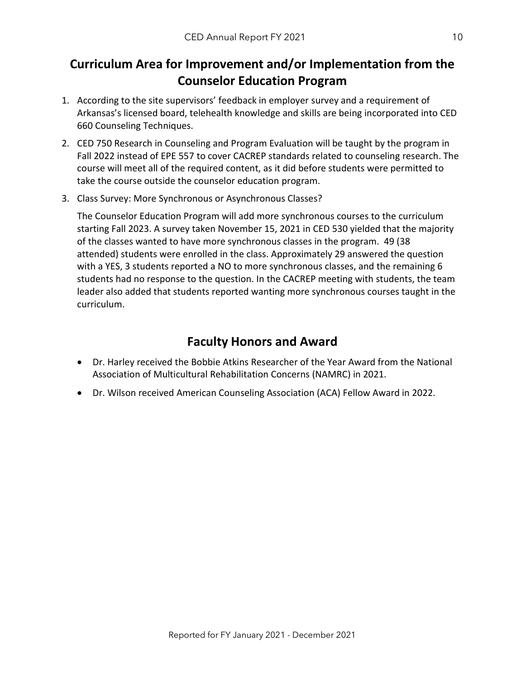# **Curriculum Area for Improvement and/or Implementation from the Counselor Education Program**

- 1. According to the site supervisors' feedback in employer survey and a requirement of Arkansas's licensed board, telehealth knowledge and skills are being incorporated into CED 660 Counseling Techniques.
- 2. CED 750 Research in Counseling and Program Evaluation will be taught by the program in Fall 2022 instead of EPE 557 to cover CACREP standards related to counseling research. The course will meet all of the required content, as it did before students were permitted to take the course outside the counselor education program.
- 3. Class Survey: More Synchronous or Asynchronous Classes?

The Counselor Education Program will add more synchronous courses to the curriculum starting Fall 2023. A survey taken November 15, 2021 in CED 530 yielded that the majority of the classes wanted to have more synchronous classes in the program. 49 (38 attended) students were enrolled in the class. Approximately 29 answered the question with a YES, 3 students reported a NO to more synchronous classes, and the remaining 6 students had no response to the question. In the CACREP meeting with students, the team leader also added that students reported wanting more synchronous courses taught in the curriculum.

# **Faculty Honors and Award**

- Dr. Harley received the Bobbie Atkins Researcher of the Year Award from the National Association of Multicultural Rehabilitation Concerns (NAMRC) in 2021.
- Dr. Wilson received American Counseling Association (ACA) Fellow Award in 2022.